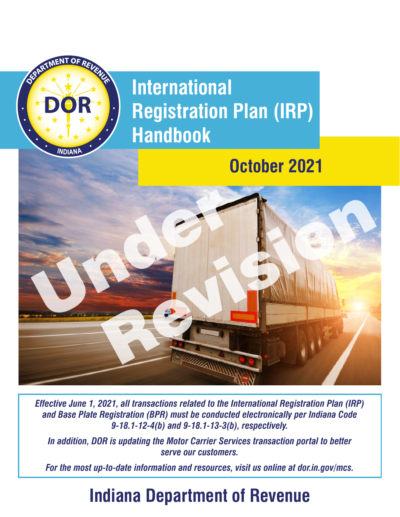

*Effective June 1, 2021, all transactions related to the International Registration Plan (IRP) and Base Plate Registration (BPR) must be conducted electronically per Indiana Code 9-18.1-12-4(b) and 9-18.1-13-3(b), respectively.* 

*In addition, DOR is updating the Motor Carrier Services transaction portal to better serve our customers.* 

*For the most up-to-date information and resources, visit us online at [dor.in.gov/mcs](https://dor.in.gov/mcs).* 

# **Indiana Department of Revenue**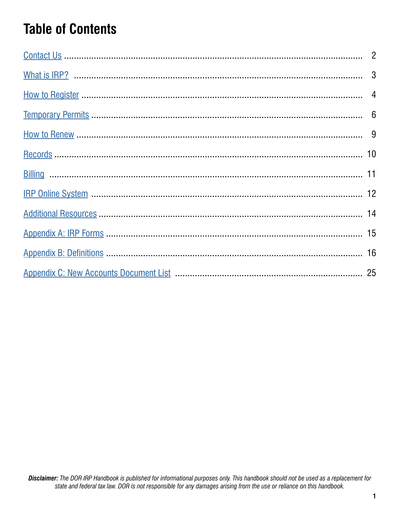# **Table of Contents**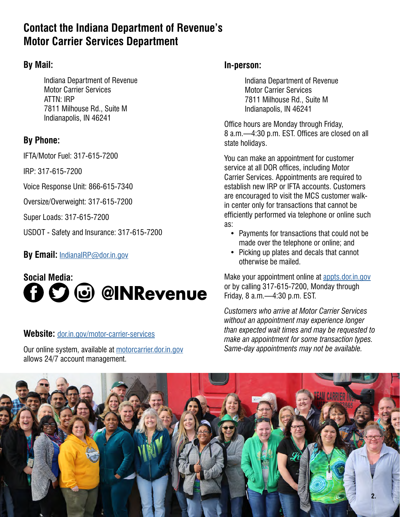## **Contact the Indiana Department of Revenue's Motor Carrier Services Department**

## **By Mail:**

Indiana Department of Revenue Motor Carrier Services ATTN: IRP 7811 Milhouse Rd., Suite M Indianapolis, IN 46241

## **By Phone:**

IFTA/Motor Fuel: 317-615-7200

IRP: 317-615-7200

Voice Response Unit: 866-615-7340

Oversize/Overweight: 317-615-7200

Super Loads: 317-615-7200

USDOT - Safety and Insurance: 317-615-7200

## **By Email:** [IndianaIRP@dor.in.gov](mailto:IndianaIRP%40dor.in.gov?subject=)



### **Website:** [dor.in.gov/motor-carrier-services](https://www.in.gov/dor/motor-carrier-services/)

Our online system, available at [motorcarrier.dor.in.gov](https://motorcarrier.dor.in.gov/loginHome.html)  allows 24/7 account management.

## **In-person:**

Indiana Department of Revenue Motor Carrier Services 7811 Milhouse Rd., Suite M Indianapolis, IN 46241

Office hours are Monday through Friday, 8 a.m.—4:30 p.m. EST. Offices are closed on all state holidays.

You can make an appointment for customer service at all DOR offices, including Motor Carrier Services. Appointments are required to establish new IRP or IFTA accounts. Customers are encouraged to visit the MCS customer walkin center only for transactions that cannot be efficiently performed via telephone or online such as:

- Payments for transactions that could not be made over the telephone or online; and
- Picking up plates and decals that cannot otherwise be mailed.

Make your appointment online at <appts.dor.in.gov> or by calling 317-615-7200, Monday through Friday, 8 a.m.—4:30 p.m. EST.

*Customers who arrive at Motor Carrier Services without an appointment may experience longer than expected wait times and may be requested to make an appointment for some transaction types. Same-day appointments may not be available.* 

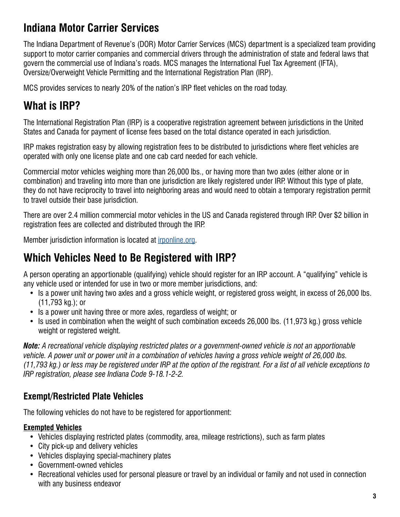## **Indiana Motor Carrier Services**

The Indiana Department of Revenue's (DOR) Motor Carrier Services (MCS) department is a specialized team providing support to motor carrier companies and commercial drivers through the administration of state and federal laws that govern the commercial use of Indiana's roads. MCS manages the International Fuel Tax Agreement (IFTA), Oversize/Overweight Vehicle Permitting and the International Registration Plan (IRP).

MCS provides services to nearly 20% of the nation's IRP fleet vehicles on the road today.

## <span id="page-3-0"></span>**What is IRP?**

The International Registration Plan (IRP) is a cooperative registration agreement between jurisdictions in the United States and Canada for payment of license fees based on the total distance operated in each jurisdiction.

IRP makes registration easy by allowing registration fees to be distributed to jurisdictions where fleet vehicles are operated with only one license plate and one cab card needed for each vehicle.

Commercial motor vehicles weighing more than 26,000 lbs., or having more than two axles (either alone or in combination) and traveling into more than one jurisdiction are likely registered under IRP. Without this type of plate, they do not have reciprocity to travel into neighboring areas and would need to obtain a temporary registration permit to travel outside their base jurisdiction.

There are over 2.4 million commercial motor vehicles in the US and Canada registered through IRP. Over \$2 billion in registration fees are collected and distributed through the IRP.

Member jurisdiction information is located at [irponline.org.](www.irponline.org)

## **Which Vehicles Need to Be Registered with IRP?**

A person operating an apportionable (qualifying) vehicle should register for an IRP account. A "qualifying" vehicle is any vehicle used or intended for use in two or more member jurisdictions, and:

- Is a power unit having two axles and a gross vehicle weight, or registered gross weight, in excess of 26,000 lbs. (11,793 kg.); or
- Is a power unit having three or more axles, regardless of weight; or
- Is used in combination when the weight of such combination exceeds 26,000 lbs. (11,973 kg.) gross vehicle weight or registered weight.

*Note: A recreational vehicle displaying restricted plates or a government-owned vehicle is not an apportionable vehicle. A power unit or power unit in a combination of vehicles having a gross vehicle weight of 26,000 lbs. (11,793 kg.) or less may be registered under IRP at the option of the registrant. For a list of all vehicle exceptions to IRP registration, please see Indiana Code 9-18.1-2-2.* 

## **Exempt/Restricted Plate Vehicles**

The following vehicles do not have to be registered for apportionment:

### **Exempted Vehicles**

- Vehicles displaying restricted plates (commodity, area, mileage restrictions), such as farm plates
- City pick-up and delivery vehicles
- Vehicles displaying special-machinery plates
- Government-owned vehicles
- Recreational vehicles used for personal pleasure or travel by an individual or family and not used in connection with any business endeavor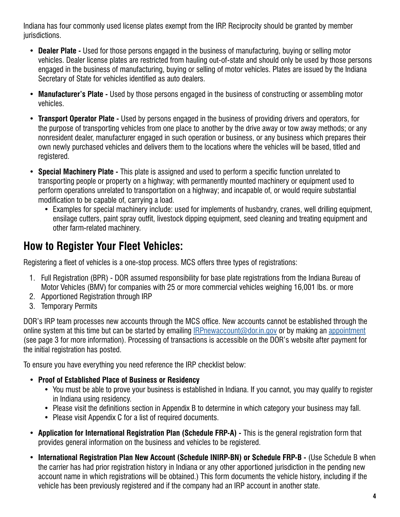Indiana has four commonly used license plates exempt from the IRP. Reciprocity should be granted by member jurisdictions.

- **Dealer Plate -** Used for those persons engaged in the business of manufacturing, buying or selling motor vehicles. Dealer license plates are restricted from hauling out-of-state and should only be used by those persons engaged in the business of manufacturing, buying or selling of motor vehicles. Plates are issued by the Indiana Secretary of State for vehicles identified as auto dealers.
- **Manufacturer's Plate -** Used by those persons engaged in the business of constructing or assembling motor vehicles.
- **Transport Operator Plate -** Used by persons engaged in the business of providing drivers and operators, for the purpose of transporting vehicles from one place to another by the drive away or tow away methods; or any nonresident dealer, manufacturer engaged in such operation or business, or any business which prepares their own newly purchased vehicles and delivers them to the locations where the vehicles will be based, titled and registered.
- **Special Machinery Plate -** This plate is assigned and used to perform a specific function unrelated to transporting people or property on a highway; with permanently mounted machinery or equipment used to perform operations unrelated to transportation on a highway; and incapable of, or would require substantial modification to be capable of, carrying a load.
	- Examples for special machinery include: used for implements of husbandry, cranes, well drilling equipment, ensilage cutters, paint spray outfit, livestock dipping equipment, seed cleaning and treating equipment and other farm-related machinery.

## <span id="page-4-0"></span>**How to Register Your Fleet Vehicles:**

Registering a fleet of vehicles is a one-stop process. MCS offers three types of registrations:

- 1. Full Registration (BPR) DOR assumed responsibility for base plate registrations from the Indiana Bureau of Motor Vehicles (BMV) for companies with 25 or more commercial vehicles weighing 16,001 lbs. or more
- 2. Apportioned Registration through IRP
- 3. Temporary Permits

DOR's IRP team processes new accounts through the MCS office. New accounts cannot be established through the online system at this time but can be started by emailing [IRPnewaccount@dor.in.gov](mailto:IRPnewaccount%40dor.in.gov?subject=) or by making an [appointment](https://www.in.gov/dor/contact-us/dor-in-person-appointments/)  (see page 3 for more information). Processing of transactions is accessible on the DOR's website after payment for the initial registration has posted.

To ensure you have everything you need reference the IRP checklist below:

- **Proof of Established Place of Business or Residency** 
	- You must be able to prove your business is established in Indiana. If you cannot, you may qualify to register in Indiana using residency.
	- Please visit the definitions section in Appendix B to determine in which category your business may fall.
	- Please visit Appendix C for a list of required documents.
- **Application for International Registration Plan (Schedule FRP-A) -** This is the general registration form that provides general information on the business and vehicles to be registered.
- **International Registration Plan New Account (Schedule INIRP-BN) or Schedule FRP-B -** (Use Schedule B when the carrier has had prior registration history in Indiana or any other apportioned jurisdiction in the pending new account name in which registrations will be obtained.) This form documents the vehicle history, including if the vehicle has been previously registered and if the company had an IRP account in another state.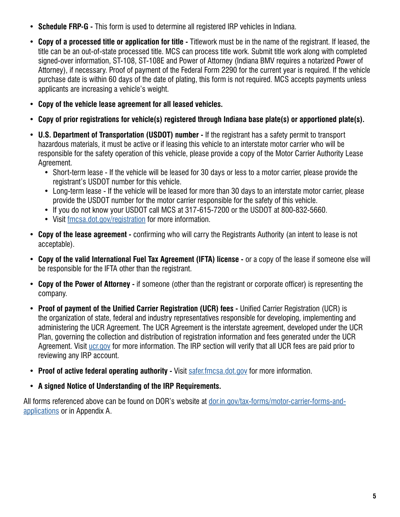- **Schedule FRP-G -** This form is used to determine all registered IRP vehicles in Indiana.
- **Copy of a processed title or application for title -** Titlework must be in the name of the registrant. If leased, the title can be an out-of-state processed title. MCS can process title work. Submit title work along with completed signed-over information, ST-108, ST-108E and Power of Attorney (Indiana BMV requires a notarized Power of Attorney), if necessary. Proof of payment of the Federal Form 2290 for the current year is required. If the vehicle purchase date is within 60 days of the date of plating, this form is not required. MCS accepts payments unless applicants are increasing a vehicle's weight.
- **Copy of the vehicle lease agreement for all leased vehicles.**
- **Copy of prior registrations for vehicle(s) registered through Indiana base plate(s) or apportioned plate(s).**
- **U.S. Department of Transportation (USDOT) number -** If the registrant has a safety permit to transport hazardous materials, it must be active or if leasing this vehicle to an interstate motor carrier who will be responsible for the safety operation of this vehicle, please provide a copy of the Motor Carrier Authority Lease Agreement.
	- Short-term lease If the vehicle will be leased for 30 days or less to a motor carrier, please provide the registrant's USDOT number for this vehicle.
	- Long-term lease If the vehicle will be leased for more than 30 days to an interstate motor carrier, please provide the USDOT number for the motor carrier responsible for the safety of this vehicle.
	- If you do not know your USDOT call MCS at 317-615-7200 or the USDOT at 800-832-5660.
	- Visit [fmcsa.dot.gov/registration](https://www.fmcsa.dot.gov/registration) for more information.
- **Copy of the lease agreement -** confirming who will carry the Registrants Authority (an intent to lease is not acceptable).
- **Copy of the valid International Fuel Tax Agreement (IFTA) license -** or a copy of the lease if someone else will be responsible for the IFTA other than the registrant.
- **Copy of the Power of Attorney -** if someone (other than the registrant or corporate officer) is representing the company.
- **Proof of payment of the Unified Carrier Registration (UCR) fees -** Unified Carrier Registration (UCR) is the organization of state, federal and industry representatives responsible for developing, implementing and administering the UCR Agreement. The UCR Agreement is the interstate agreement, developed under the UCR Plan, governing the collection and distribution of registration information and fees generated under the UCR Agreement. Visit [ucr.gov](www.ucr.gov) for more information. The IRP section will verify that all UCR fees are paid prior to reviewing any IRP account.
- **Proof of active federal operating authority -** Visit [safer.fmcsa.dot.gov](http://safer.fmcsa.dot.gov/) for more information.
- **A signed Notice of Understanding of the IRP Requirements.**

All forms referenced above can be found on DOR's website at [dor.in.gov/t](dor.in.gov/tax-forms/motor-carrier-forms-and-applications)ax-forms/motor-carrier-forms-andapplications or in Appendix A.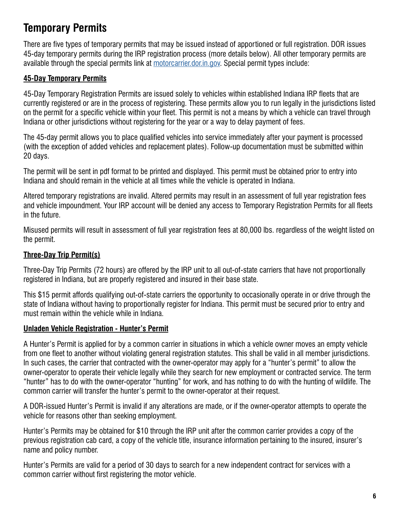## <span id="page-6-0"></span>**Temporary Permits**

There are five types of temporary permits that may be issued instead of apportioned or full registration. DOR issues 45-day temporary permits during the IRP registration pr[ocess \(more details be](https://motorcarrier.dor.in.gov/loginHome.html)low). All other temporary permits are available through the special permits link at [motorcarrier.dor.in.gov.](https://motorcarrier.dor.in.gov) Special permit types include:

### **45-Day Temporary Permits**

45-Day Temporary Registration Permits are issued solely to vehicles within established Indiana IRP fleets that are currently registered or are in the process of registering. These permits allow you to run legally in the jurisdictions listed on the permit for a specific vehicle within your fleet. This permit is not a means by which a vehicle can travel through Indiana or other jurisdictions without registering for the year or a way to delay payment of fees.

The 45-day permit allows you to place qualified vehicles into service immediately after your payment is processed (with the exception of added vehicles and replacement plates). Follow-up documentation must be submitted within 20 days.

The permit will be sent in pdf format to be printed and displayed. This permit must be obtained prior to entry into Indiana and should remain in the vehicle at all times while the vehicle is operated in Indiana.

Altered temporary registrations are invalid. Altered permits may result in an assessment of full year registration fees and vehicle impoundment. Your IRP account will be denied any access to Temporary Registration Permits for all fleets in the future.

Misused permits will result in assessment of full year registration fees at 80,000 lbs. regardless of the weight listed on the permit.

#### **Three-Day Trip Permit(s)**

Three-Day Trip Permits (72 hours) are offered by the IRP unit to all out-of-state carriers that have not proportionally registered in Indiana, but are properly registered and insured in their base state.

This \$15 permit affords qualifying out-of-state carriers the opportunity to occasionally operate in or drive through the state of Indiana without having to proportionally register for Indiana. This permit must be secured prior to entry and must remain within the vehicle while in Indiana.

#### **Unladen Vehicle Registration - Hunter's Permit**

A Hunter's Permit is applied for by a common carrier in situations in which a vehicle owner moves an empty vehicle from one fleet to another without violating general registration statutes. This shall be valid in all member jurisdictions. In such cases, the carrier that contracted with the owner-operator may apply for a "hunter's permit" to allow the owner-operator to operate their vehicle legally while they search for new employment or contracted service. The term "hunter" has to do with the owner-operator "hunting" for work, and has nothing to do with the hunting of wildlife. The common carrier will transfer the hunter's permit to the owner-operator at their request.

A DOR-issued Hunter's Permit is invalid if any alterations are made, or if the owner-operator attempts to operate the vehicle for reasons other than seeking employment.

Hunter's Permits may be obtained for \$10 through the IRP unit after the common carrier provides a copy of the previous registration cab card, a copy of the vehicle title, insurance information pertaining to the insured, insurer's name and policy number.

Hunter's Permits are valid for a period of 30 days to search for a new independent contract for services with a common carrier without first registering the motor vehicle.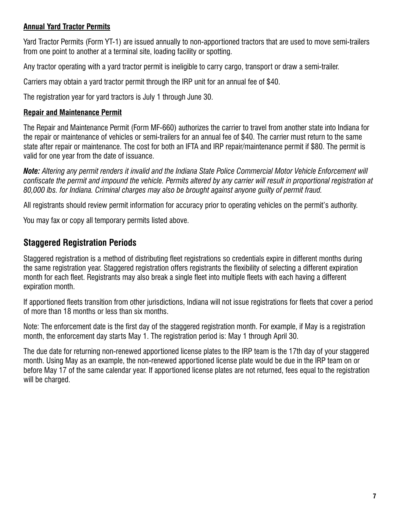### **Annual Yard Tractor Permits**

Yard Tractor Permits (Form YT-1) are issued annually to non-apportioned tractors that are used to move semi-trailers from one point to another at a terminal site, loading facility or spotting.

Any tractor operating with a yard tractor permit is ineligible to carry cargo, transport or draw a semi-trailer.

Carriers may obtain a yard tractor permit through the IRP unit for an annual fee of \$40.

The registration year for yard tractors is July 1 through June 30.

#### **Repair and Maintenance Permit**

The Repair and Maintenance Permit (Form MF-660) authorizes the carrier to travel from another state into Indiana for the repair or maintenance of vehicles or semi-trailers for an annual fee of \$40. The carrier must return to the same state after repair or maintenance. The cost for both an IFTA and IRP repair/maintenance permit if \$80. The permit is valid for one year from the date of issuance.

*Note: Altering any permit renders it invalid and the Indiana State Police Commercial Motor Vehicle Enforcement will confiscate the permit and impound the vehicle. Permits altered by any carrier will result in proportional registration at 80,000 lbs. for Indiana. Criminal charges may also be brought against anyone guilty of permit fraud.* 

All registrants should review permit information for accuracy prior to operating vehicles on the permit's authority.

You may fax or copy all temporary permits listed above.

### **Staggered Registration Periods**

Staggered registration is a method of distributing fleet registrations so credentials expire in different months during the same registration year. Staggered registration offers registrants the flexibility of selecting a different expiration month for each fleet. Registrants may also break a single fleet into multiple fleets with each having a different expiration month.

If apportioned fleets transition from other jurisdictions, Indiana will not issue registrations for fleets that cover a period of more than 18 months or less than six months.

Note: The enforcement date is the first day of the staggered registration month. For example, if May is a registration month, the enforcement day starts May 1. The registration period is: May 1 through April 30.

The due date for returning non-renewed apportioned license plates to the IRP team is the 17th day of your staggered month. Using May as an example, the non-renewed apportioned license plate would be due in the IRP team on or before May 17 of the same calendar year. If apportioned license plates are not returned, fees equal to the registration will be charged.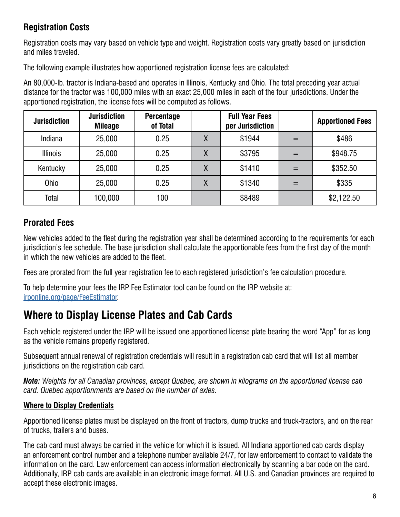## **Registration Costs**

Registration costs may vary based on vehicle type and weight. Registration costs vary greatly based on jurisdiction and miles traveled.

The following example illustrates how apportioned registration license fees are calculated:

An 80,000-lb. tractor is Indiana-based and operates in Illinois, Kentucky and Ohio. The total preceding year actual distance for the tractor was 100,000 miles with an exact 25,000 miles in each of the four jurisdictions. Under the apportioned registration, the license fees will be computed as follows.

| <b>Jurisdiction</b> | <b>Jurisdiction</b><br><b>Mileage</b> | <b>Percentage</b><br>of Total |   | <b>Full Year Fees</b><br>per Jurisdiction |     | <b>Apportioned Fees</b> |
|---------------------|---------------------------------------|-------------------------------|---|-------------------------------------------|-----|-------------------------|
| Indiana             | 25,000                                | 0.25                          |   | \$1944                                    | $=$ | \$486                   |
| <b>Illinois</b>     | 25,000                                | 0.25                          | χ | \$3795                                    | $=$ | \$948.75                |
| Kentucky            | 25,000                                | 0.25                          | Χ | \$1410                                    | $=$ | \$352.50                |
| <b>Ohio</b>         | 25,000                                | 0.25                          | Χ | \$1340                                    | $=$ | \$335                   |
| Total               | 100,000                               | 100                           |   | \$8489                                    |     | \$2,122.50              |

## **Prorated Fees**

New vehicles added to the fleet during the registration year shall be determined according to the requirements for each jurisdiction's fee schedule. The base jurisdiction shall calculate the apportionable fees from the first day of the month in which the new vehicles are added to the fleet.

Fees are prorated from the full year registration fee to each registered jurisdiction's fee calculation procedure.

To help determine your fees the IRP Fee Estimator tool can be found on the IRP website at: [irponline.org/page/FeeEstimator.](https://www.irponline.org/page/FeeEstimator)

## **Where to Display License Plates and Cab Cards**

Each vehicle registered under the IRP will be issued one apportioned license plate bearing the word "App" for as long as the vehicle remains properly registered.

Subsequent annual renewal of registration credentials will result in a registration cab card that will list all member jurisdictions on the registration cab card.

*Note: Weights for all Canadian provinces, except Quebec, are shown in kilograms on the apportioned license cab card. Quebec apportionments are based on the number of axles.* 

## **Where to Display Credentials**

Apportioned license plates must be displayed on the front of tractors, dump trucks and truck-tractors, and on the rear of trucks, trailers and buses.

The cab card must always be carried in the vehicle for which it is issued. All Indiana apportioned cab cards display an enforcement control number and a telephone number available 24/7, for law enforcement to contact to validate the information on the card. Law enforcement can access information electronically by scanning a bar code on the card. Additionally, IRP cab cards are available in an electronic image format. All U.S. and Canadian provinces are required to accept these electronic images.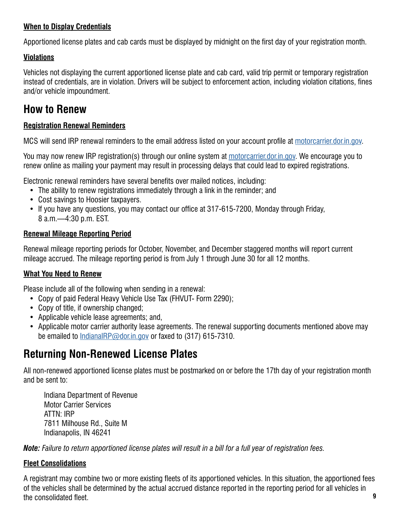### **When to Display Credentials**

Apportioned license plates and cab cards must be displayed by midnight on the first day of your registration month.

### **Violations**

Vehicles not displaying the current apportioned license plate and cab card, valid trip permit or temporary registration instead of credentials, are in violation. Drivers will be subject to enforcement action, including violation citations, fines and/or vehicle impoundment.

## <span id="page-9-0"></span>**How to Renew**

### **Registration Renewal Reminders**

MCS will send IRP renewal reminders to the email address listed on your account profile at [motorcarrier.dor.in.gov.](https://motorcarrier.dor.in.gov/loginHome.html)

You may now renew IRP registration(s) through our online system at [motorcarrier.dor.in.gov](https://motorcarrier.dor.in.gov/loginHome.html). We encourage you to renew online as mailing your payment may result in processing delays that could lead to expired registrations.

Electronic renewal reminders have several benefits over mailed notices, including:

- The ability to renew registrations immediately through a link in the reminder; and
- Cost savings to Hoosier taxpayers.
- If you have any questions, you may contact our office at 317-615-7200, Monday through Friday, 8 a.m.—4:30 p.m. EST.

#### **Renewal Mileage Reporting Period**

Renewal mileage reporting periods for October, November, and December staggered months will report current mileage accrued. The mileage reporting period is from July 1 through June 30 for all 12 months.

#### **What You Need to Renew**

Please include all of the following when sending in a renewal:

- Copy of paid Federal Heavy Vehicle Use Tax (FHVUT- Form 2290);
- Copy of title, if ownership changed;
- Applicable vehicle lease agreements; and,
- Applicable motor carrier authority lease agreements. The renewal supporting documents mentioned above may be emailed to [IndianaIRP@dor.in.gov](mailto:IndianaIRP%40dor.in.gov?subject=) or faxed to (317) 615-7310.

## **Returning Non-Renewed License Plates**

All non-renewed apportioned license plates must be postmarked on or before the 17th day of your registration month and be sent to:

Indiana Department of Revenue Motor Carrier Services ATTN: IRP 7811 Milhouse Rd., Suite M Indianapolis, IN 46241

*Note: Failure to return apportioned license plates will result in a bill for a full year of registration fees.* 

#### **Fleet Consolidations**

A registrant may combine two or more existing fleets of its apportioned vehicles. In this situation, the apportioned fees of the vehicles shall be determined by the actual accrued distance reported in the reporting period for all vehicles in the consolidated fleet. **9**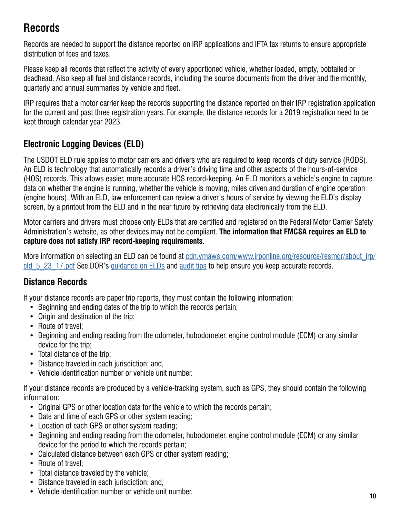## <span id="page-10-0"></span>**Records**

Records are needed to support the distance reported on IRP applications and IFTA tax returns to ensure appropriate distribution of fees and taxes.

Please keep all records that reflect the activity of every apportioned vehicle, whether loaded, empty, bobtailed or deadhead. Also keep all fuel and distance records, including the source documents from the driver and the monthly, quarterly and annual summaries by vehicle and fleet.

IRP requires that a motor carrier keep the records supporting the distance reported on their IRP registration application for the current and past three registration years. For example, the distance records for a 2019 registration need to be kept through calendar year 2023.

## **Electronic Logging Devices (ELD)**

The USDOT ELD rule applies to motor carriers and drivers who are required to keep records of duty service (RODS). An ELD is technology that automatically records a driver's driving time and other aspects of the hours-of-service (HOS) records. This allows easier, more accurate HOS record-keeping. An ELD monitors a vehicle's engine to capture data on whether the engine is running, whether the vehicle is moving, miles driven and duration of engine operation (engine hours). With an ELD, law enforcement can review a driver's hours of service by viewing the ELD's display screen, by a printout from the ELD and in the near future by retrieving data electronically from the ELD.

Motor carriers and drivers must choose only ELDs that are certified and registered on the Federal Motor Carrier Safety Administration's website, as other devices may not be compliant. **The information that FMCSA requires an ELD to capture does not satisfy IRP record-keeping requirements.** 

More information on selecting an ELD can be found at [cdn.ymaws.com/www.irponline.org/resource/resmgr/about\\_irp/](https://cdn.ymaws.com/www.irponline.org/resource/resmgr/about_irp/eld_5_23_17.pdf) eld 5 23 17.pdf See DOR's [guidance on ELDs](https://www.in.gov/dor/motor-carrier-services/electronic-logging-device-eld/) and [audit tips](https://www.in.gov/dor/files/audit-manual.pdf) to help ensure you keep accurate records.

## **Distance Records**

If your distance records are paper trip reports, they must contain the following information:

- Beginning and ending dates of the trip to which the records pertain;
- Origin and destination of the trip:
- Route of travel;
- Beginning and ending reading from the odometer, hubodometer, engine control module (ECM) or any similar device for the trip;
- Total distance of the trip;
- Distance traveled in each jurisdiction; and,
- Vehicle identification number or vehicle unit number.

If your distance records are produced by a vehicle-tracking system, such as GPS, they should contain the following information:

- Original GPS or other location data for the vehicle to which the records pertain;
- Date and time of each GPS or other system reading;
- Location of each GPS or other system reading;
- Beginning and ending reading from the odometer, hubodometer, engine control module (ECM) or any similar device for the period to which the records pertain;
- Calculated distance between each GPS or other system reading;
- Route of travel:
- Total distance traveled by the vehicle;
- Distance traveled in each jurisdiction; and,
- Vehicle identification number or vehicle unit number. **10**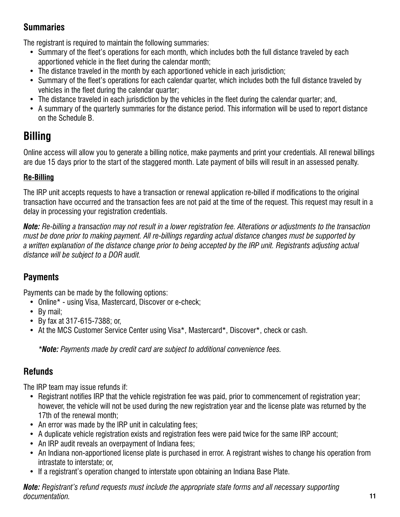## **Summaries**

The registrant is required to maintain the following summaries:

- Summary of the fleet's operations for each month, which includes both the full distance traveled by each apportioned vehicle in the fleet during the calendar month;
- The distance traveled in the month by each apportioned vehicle in each jurisdiction;
- Summary of the fleet's operations for each calendar quarter, which includes both the full distance traveled by vehicles in the fleet during the calendar quarter;
- The distance traveled in each jurisdiction by the vehicles in the fleet during the calendar quarter; and,
- A summary of the quarterly summaries for the distance period. This information will be used to report distance on the Schedule B.

## <span id="page-11-0"></span>**Billing**

Online access will allow you to generate a billing notice, make payments and print your credentials. All renewal billings are due 15 days prior to the start of the staggered month. Late payment of bills will result in an assessed penalty.

## **Re-Billing**

The IRP unit accepts requests to have a transaction or renewal application re-billed if modifications to the original transaction have occurred and the transaction fees are not paid at the time of the request. This request may result in a delay in processing your registration credentials.

*Note: Re-billing a transaction may not result in a lower registration fee. Alterations or adjustments to the transaction must be done prior to making payment. All re-billings regarding actual distance changes must be supported by a written explanation of the distance change prior to being accepted by the IRP unit. Registrants adjusting actual distance will be subject to a DOR audit.* 

## **Payments**

Payments can be made by the following options:

- Online\* using Visa, Mastercard, Discover or e-check;
- By mail:
- By fax at 317-615-7388; or,
- At the MCS Customer Service Center using Visa\*, Mastercard\*, Discover\*, check or cash.

*\*Note: Payments made by credit card are subject to additional convenience fees.* 

## **Refunds**

The IRP team may issue refunds if:

- Registrant notifies IRP that the vehicle registration fee was paid, prior to commencement of registration year; however, the vehicle will not be used during the new registration year and the license plate was returned by the 17th of the renewal month;
- An error was made by the IRP unit in calculating fees;
- A duplicate vehicle registration exists and registration fees were paid twice for the same IRP account;
- An IRP audit reveals an overpayment of Indiana fees;
- An Indiana non-apportioned license plate is purchased in error. A registrant wishes to change his operation from intrastate to interstate; or,
- If a registrant's operation changed to interstate upon obtaining an Indiana Base Plate.

*Note: Registrant's refund requests must include the appropriate state forms and all necessary supporting documentation.* **11**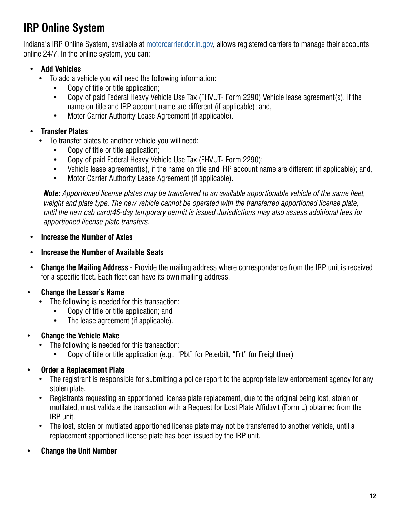## <span id="page-12-0"></span>**IRP Online System**

[Indiana's IRP Online System,](https://motorcarrier.dor.in.gov/) available at [motorcarrier.dor.in.gov,](https://motorcarrier.dor.in.gov/loginHome.html) allows registered carriers to manage their accounts online 24/7. In the online system, you can:

### **• Add Vehicles**

- To add a vehicle you will need the following information:
	- Copy of title or title application;
	- Copy of paid Federal Heavy Vehicle Use Tax (FHVUT- Form 2290) Vehicle lease agreement(s), if the name on title and IRP account name are different (if applicable); and,
	- Motor Carrier Authority Lease Agreement (if applicable).
- **Transfer Plates** 
	- To transfer plates to another vehicle you will need:
		- Copy of title or title application;
		- Copy of paid Federal Heavy Vehicle Use Tax (FHVUT- Form 2290);
		- Vehicle lease agreement(s), if the name on title and IRP account name are different (if applicable); and,
		- Motor Carrier Authority Lease Agreement (if applicable).

*Note: Apportioned license plates may be transferred to an available apportionable vehicle of the same fleet, weight and plate type. The new vehicle cannot be operated with the transferred apportioned license plate, until the new cab card/45-day temporary permit is issued Jurisdictions may also assess additional fees for apportioned license plate transfers.* 

- **Increase the Number of Axles**
- **Increase the Number of Available Seats**
- **Change the Mailing Address -** Provide the mailing address where correspondence from the IRP unit is received for a specific fleet. Each fleet can have its own mailing address.

### **• Change the Lessor's Name**

- The following is needed for this transaction:
	- Copy of title or title application; and
	- The lease agreement (if applicable).
- **Change the Vehicle Make** 
	- The following is needed for this transaction:
		- Copy of title or title application (e.g., "Pbt" for Peterbilt, "Frt" for Freightliner)
- **Order a Replacement Plate** 
	- The registrant is responsible for submitting a police report to the appropriate law enforcement agency for any stolen plate.
	- Registrants requesting an apportioned license plate replacement, due to the original being lost, stolen or mutilated, must validate the transaction with a Request for Lost Plate Affidavit (Form L) obtained from the IRP unit.
	- The lost, stolen or mutilated apportioned license plate may not be transferred to another vehicle, until a replacement apportioned license plate has been issued by the IRP unit.
- **Change the Unit Number**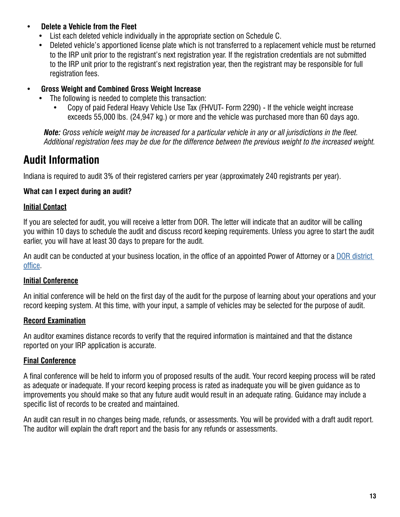- **Delete a Vehicle from the Fleet** 
	- List each deleted vehicle individually in the appropriate section on Schedule C.
	- Deleted vehicle's apportioned license plate which is not transferred to a replacement vehicle must be returned to the IRP unit prior to the registrant's next registration year. If the registration credentials are not submitted to the IRP unit prior to the registrant's next registration year, then the registrant may be responsible for full registration fees.
- **Gross Weight and Combined Gross Weight Increase** 
	- The following is needed to complete this transaction:
		- Copy of paid Federal Heavy Vehicle Use Tax (FHVUT- Form 2290) If the vehicle weight increase exceeds 55,000 lbs. (24,947 kg.) or more and the vehicle was purchased more than 60 days ago.

*Note: Gross vehicle weight may be increased for a particular vehicle in any or all jurisdictions in the fleet. Additional registration fees may be due for the difference between the previous weight to the increased weight.* 

## **Audit Information**

Indiana is required to audit 3% of their registered carriers per year (approximately 240 registrants per year).

### **What can I expect during an audit?**

#### **Initial Contact**

If you are selected for audit, you will receive a letter from DOR. The letter will indicate that an auditor will be calling you within 10 days to schedule the audit and discuss record keeping requirements. Unless you agree to start the audit earlier, you will have at least 30 days to prepare for the audit.

An audit can be conducted at your business location, in the office of an appointed Power of Attorney or a DOR district [office](https://www.in.gov/dor/contact-us/district-office-contact-info/).

#### **Initial Conference**

An initial conference will be held on the first day of the audit for the purpose of learning about your operations and your record keeping system. At this time, with your input, a sample of vehicles may be selected for the purpose of audit.

### **Record Examination**

An auditor examines distance records to verify that the required information is maintained and that the distance reported on your IRP application is accurate.

### **Final Conference**

A final conference will be held to inform you of proposed results of the audit. Your record keeping process will be rated as adequate or inadequate. If your record keeping process is rated as inadequate you will be given guidance as to improvements you should make so that any future audit would result in an adequate rating. Guidance may include a specific list of records to be created and maintained.

An audit can result in no changes being made, refunds, or assessments. You will be provided with a draft audit report. The auditor will explain the draft report and the basis for any refunds or assessments.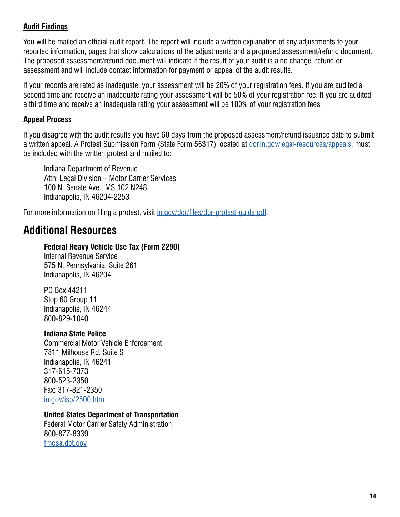#### **Audit Findings**

You will be mailed an official audit report. The report will include a written explanation of any adjustments to your reported information, pages that show calculations of the adjustments and a proposed assessment/refund document. The proposed assessment/refund document will indicate if the result of your audit is a no change, refund or assessment and will include contact information for payment or appeal of the audit results.

If your records are rated as inadequate, your assessment will be 20% of your registration fees. If you are audited a second time and receive an inadequate rating your assessment will be 50% of your registration fee. If you are audited a third time and receive an inadequate rating your assessment will be 100% of your registration fees.

#### **Appeal Process**

If you disagree with the audit results you have 60 days from the proposed assessment/refund issuance date to submit a written appeal. A Protest Submission Form (State Form 56317) located at [dor.in.gov/legal-resources/appeals,](https://www.in.gov/dor/legal-resources/appeals/) must be included with the written protest and mailed to:

Indiana Department of Revenue Attn: Legal Division – Motor Carrier Services 100 N. Senate Ave., MS 102 N248 Indianapolis, IN 46204-2253

For more information on filing a protest, visit [in.gov/dor/files/dor-protest-guide.pdf](https://www.in.gov/dor/files/dor-protest-guide.pdf).

## <span id="page-14-0"></span>**Additional Resources**

#### **Federal Heavy Vehicle Use Tax (Form 2290)**

Internal Revenue Service 575 N. Pennsylvania, Suite 261 Indianapolis, IN 46204

PO Box 44211 Stop 60 Group 11 Indianapolis, IN 46244 800-829-1040

#### **Indiana State Police**

Commercial Motor Vehicle Enforcement 7811 Milhouse Rd, Suite S Indianapolis, IN 46241 317-615-7373 800-523-2350 Fax: 317-821-2350 [in.gov/isp/2500.htm](www.in.gov/isp/2500.htm) 

#### **United States Department of Transportation**

Federal Motor Carrier Safety Administration 800-877-8339 [fmcsa.dot.gov](https://www.fmcsa.dot.gov/)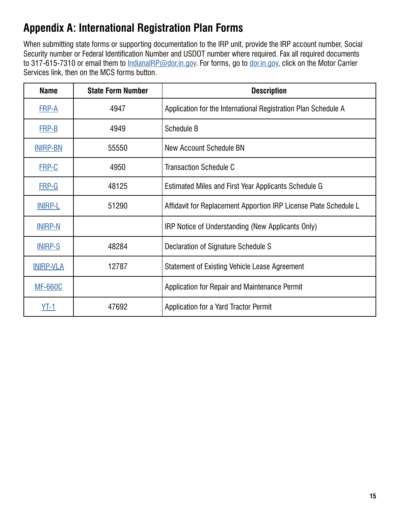## <span id="page-15-0"></span>**Appendix A: International Registration Plan Forms**

When submitting state forms or supporting documentation to the IRP unit, provide the IRP account number, Social Security number or Federal Identification Number and USDOT number where required. Fax all required documents to 317-615-7310 or email them to [IndianaIRP@dor.in.gov.](mailto:IndianaIRP%40dor.in.gov?subject=) For forms, go to [dor.in.gov,](https://www.in.gov/dor/) click on the Motor Carrier Services link, then on the MCS forms button.

| <b>Name</b>      | <b>State Form Number</b> | <b>Description</b>                                               |
|------------------|--------------------------|------------------------------------------------------------------|
| <b>FRP-A</b>     | 4947                     | Application for the International Registration Plan Schedule A   |
| <b>FRP-B</b>     | 4949                     | Schedule B                                                       |
| <b>INIRP-BN</b>  | 55550                    | New Account Schedule BN                                          |
| FRP-C            | 4950                     | <b>Transaction Schedule C</b>                                    |
| <b>FRP-G</b>     | 48125                    | Estimated Miles and First Year Applicants Schedule G             |
| <b>INIRP-L</b>   | 51290                    | Affidavit for Replacement Apportion IRP License Plate Schedule L |
| <b>INIRP-N</b>   |                          | IRP Notice of Understanding (New Applicants Only)                |
| <b>INIRP-S</b>   | 48284                    | Declaration of Signature Schedule S                              |
| <b>INIRP-VLA</b> | 12787                    | Statement of Existing Vehicle Lease Agreement                    |
| <b>MF-660C</b>   |                          | Application for Repair and Maintenance Permit                    |
| YT-1             | 47692                    | Application for a Yard Tractor Permit                            |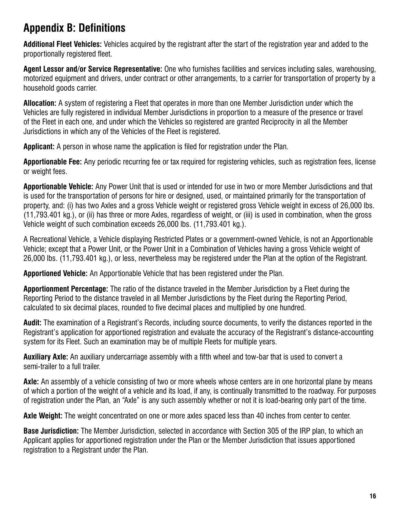## <span id="page-16-0"></span>**Appendix B: Definitions**

**Additional Fleet Vehicles:** Vehicles acquired by the registrant after the start of the registration year and added to the proportionally registered fleet.

**Agent Lessor and/or Service Representative:** One who furnishes facilities and services including sales, warehousing, motorized equipment and drivers, under contract or other arrangements, to a carrier for transportation of property by a household goods carrier.

**Allocation:** A system of registering a Fleet that operates in more than one Member Jurisdiction under which the Vehicles are fully registered in individual Member Jurisdictions in proportion to a measure of the presence or travel of the Fleet in each one, and under which the Vehicles so registered are granted Reciprocity in all the Member Jurisdictions in which any of the Vehicles of the Fleet is registered.

**Applicant:** A person in whose name the application is filed for registration under the Plan.

**Apportionable Fee:** Any periodic recurring fee or tax required for registering vehicles, such as registration fees, license or weight fees.

**Apportionable Vehicle:** Any Power Unit that is used or intended for use in two or more Member Jurisdictions and that is used for the transportation of persons for hire or designed, used, or maintained primarily for the transportation of property, and: (i) has two Axles and a gross Vehicle weight or registered gross Vehicle weight in excess of 26,000 lbs. (11,793.401 kg.), or (ii) has three or more Axles, regardless of weight, or (iii) is used in combination, when the gross Vehicle weight of such combination exceeds 26,000 lbs. (11,793.401 kg.).

A Recreational Vehicle, a Vehicle displaying Restricted Plates or a government-owned Vehicle, is not an Apportionable Vehicle; except that a Power Unit, or the Power Unit in a Combination of Vehicles having a gross Vehicle weight of 26,000 lbs. (11,793.401 kg.), or less, nevertheless may be registered under the Plan at the option of the Registrant.

**Apportioned Vehicle:** An Apportionable Vehicle that has been registered under the Plan.

**Apportionment Percentage:** The ratio of the distance traveled in the Member Jurisdiction by a Fleet during the Reporting Period to the distance traveled in all Member Jurisdictions by the Fleet during the Reporting Period, calculated to six decimal places, rounded to five decimal places and multiplied by one hundred.

**Audit:** The examination of a Registrant's Records, including source documents, to verify the distances reported in the Registrant's application for apportioned registration and evaluate the accuracy of the Registrant's distance-accounting system for its Fleet. Such an examination may be of multiple Fleets for multiple years.

**Auxiliary Axle:** An auxiliary undercarriage assembly with a fifth wheel and tow-bar that is used to convert a semi-trailer to a full trailer.

**Axle:** An assembly of a vehicle consisting of two or more wheels whose centers are in one horizontal plane by means of which a portion of the weight of a vehicle and its load, if any, is continually transmitted to the roadway. For purposes of registration under the Plan, an "Axle" is any such assembly whether or not it is load-bearing only part of the time.

**Axle Weight:** The weight concentrated on one or more axles spaced less than 40 inches from center to center.

**Base Jurisdiction:** The Member Jurisdiction, selected in accordance with Section 305 of the IRP plan, to which an Applicant applies for apportioned registration under the Plan or the Member Jurisdiction that issues apportioned registration to a Registrant under the Plan.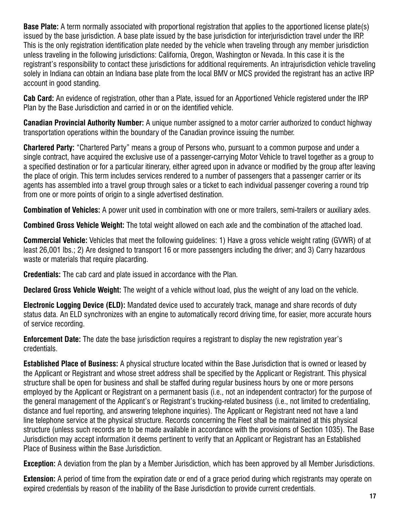**Base Plate:** A term normally associated with proportional registration that applies to the apportioned license plate(s) issued by the base jurisdiction. A base plate issued by the base jurisdiction for interjurisdiction travel under the IRP. This is the only registration identification plate needed by the vehicle when traveling through any member jurisdiction unless traveling in the following jurisdictions: California, Oregon, Washington or Nevada. In this case it is the registrant's responsibility to contact these jurisdictions for additional requirements. An intrajurisdiction vehicle traveling solely in Indiana can obtain an Indiana base plate from the local BMV or MCS provided the registrant has an active IRP account in good standing.

**Cab Card:** An evidence of registration, other than a Plate, issued for an Apportioned Vehicle registered under the IRP Plan by the Base Jurisdiction and carried in or on the identified vehicle.

**Canadian Provincial Authority Number:** A unique number assigned to a motor carrier authorized to conduct highway transportation operations within the boundary of the Canadian province issuing the number.

**Chartered Party:** "Chartered Party" means a group of Persons who, pursuant to a common purpose and under a single contract, have acquired the exclusive use of a passenger-carrying Motor Vehicle to travel together as a group to a specified destination or for a particular itinerary, either agreed upon in advance or modified by the group after leaving the place of origin. This term includes services rendered to a number of passengers that a passenger carrier or its agents has assembled into a travel group through sales or a ticket to each individual passenger covering a round trip from one or more points of origin to a single advertised destination.

**Combination of Vehicles:** A power unit used in combination with one or more trailers, semi-trailers or auxiliary axles.

**Combined Gross Vehicle Weight:** The total weight allowed on each axle and the combination of the attached load.

**Commercial Vehicle:** Vehicles that meet the following guidelines: 1) Have a gross vehicle weight rating (GVWR) of at least 26,001 lbs.; 2) Are designed to transport 16 or more passengers including the driver; and 3) Carry hazardous waste or materials that require placarding.

**Credentials:** The cab card and plate issued in accordance with the Plan.

**Declared Gross Vehicle Weight:** The weight of a vehicle without load, plus the weight of any load on the vehicle.

**Electronic Logging Device (ELD):** Mandated device used to accurately track, manage and share records of duty status data. An ELD synchronizes with an engine to automatically record driving time, for easier, more accurate hours of service recording.

**Enforcement Date:** The date the base jurisdiction requires a registrant to display the new registration year's credentials.

**Established Place of Business:** A physical structure located within the Base Jurisdiction that is owned or leased by the Applicant or Registrant and whose street address shall be specified by the Applicant or Registrant. This physical structure shall be open for business and shall be staffed during regular business hours by one or more persons employed by the Applicant or Registrant on a permanent basis (i.e., not an independent contractor) for the purpose of the general management of the Applicant's or Registrant's trucking-related business (i.e., not limited to credentialing, distance and fuel reporting, and answering telephone inquiries). The Applicant or Registrant need not have a land line telephone service at the physical structure. Records concerning the Fleet shall be maintained at this physical structure (unless such records are to be made available in accordance with the provisions of Section 1035). The Base Jurisdiction may accept information it deems pertinent to verify that an Applicant or Registrant has an Established Place of Business within the Base Jurisdiction.

**Exception:** A deviation from the plan by a Member Jurisdiction, which has been approved by all Member Jurisdictions.

**Extension:** A period of time from the expiration date or end of a grace period during which registrants may operate on expired credentials by reason of the inability of the Base Jurisdiction to provide current credentials.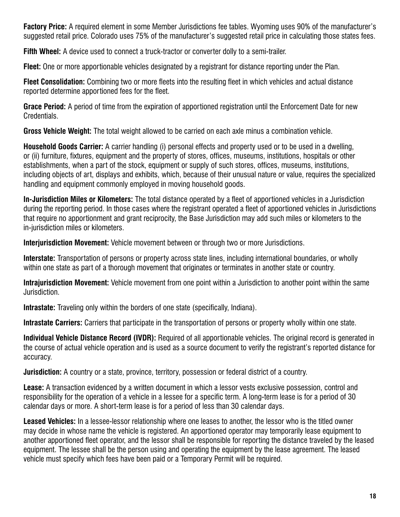**Factory Price:** A required element in some Member Jurisdictions fee tables. Wyoming uses 90% of the manufacturer's suggested retail price. Colorado uses 75% of the manufacturer's suggested retail price in calculating those states fees.

**Fifth Wheel:** A device used to connect a truck-tractor or converter dolly to a semi-trailer.

**Fleet:** One or more apportionable vehicles designated by a registrant for distance reporting under the Plan.

**Fleet Consolidation:** Combining two or more fleets into the resulting fleet in which vehicles and actual distance reported determine apportioned fees for the fleet.

**Grace Period:** A period of time from the expiration of apportioned registration until the Enforcement Date for new Credentials.

**Gross Vehicle Weight:** The total weight allowed to be carried on each axle minus a combination vehicle.

**Household Goods Carrier:** A carrier handling (i) personal effects and property used or to be used in a dwelling, or (ii) furniture, fixtures, equipment and the property of stores, offices, museums, institutions, hospitals or other establishments, when a part of the stock, equipment or supply of such stores, offices, museums, institutions, including objects of art, displays and exhibits, which, because of their unusual nature or value, requires the specialized handling and equipment commonly employed in moving household goods.

**In-Jurisdiction Miles or Kilometers:** The total distance operated by a fleet of apportioned vehicles in a Jurisdiction during the reporting period. In those cases where the registrant operated a fleet of apportioned vehicles in Jurisdictions that require no apportionment and grant reciprocity, the Base Jurisdiction may add such miles or kilometers to the in-jurisdiction miles or kilometers.

**Interjurisdiction Movement:** Vehicle movement between or through two or more Jurisdictions.

**Interstate:** Transportation of persons or property across state lines, including international boundaries, or wholly within one state as part of a thorough movement that originates or terminates in another state or country.

**Intrajurisdiction Movement:** Vehicle movement from one point within a Jurisdiction to another point within the same Jurisdiction.

**Intrastate:** Traveling only within the borders of one state (specifically, Indiana).

**Intrastate Carriers:** Carriers that participate in the transportation of persons or property wholly within one state.

**Individual Vehicle Distance Record (IVDR):** Required of all apportionable vehicles. The original record is generated in the course of actual vehicle operation and is used as a source document to verify the registrant's reported distance for accuracy.

**Jurisdiction:** A country or a state, province, territory, possession or federal district of a country.

**Lease:** A transaction evidenced by a written document in which a lessor vests exclusive possession, control and responsibility for the operation of a vehicle in a lessee for a specific term. A long-term lease is for a period of 30 calendar days or more. A short-term lease is for a period of less than 30 calendar days.

**Leased Vehicles:** In a lessee-lessor relationship where one leases to another, the lessor who is the titled owner may decide in whose name the vehicle is registered. An apportioned operator may temporarily lease equipment to another apportioned fleet operator, and the lessor shall be responsible for reporting the distance traveled by the leased equipment. The lessee shall be the person using and operating the equipment by the lease agreement. The leased vehicle must specify which fees have been paid or a Temporary Permit will be required.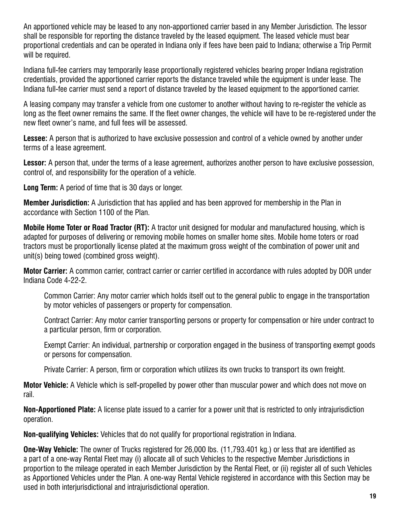An apportioned vehicle may be leased to any non-apportioned carrier based in any Member Jurisdiction. The lessor shall be responsible for reporting the distance traveled by the leased equipment. The leased vehicle must bear proportional credentials and can be operated in Indiana only if fees have been paid to Indiana; otherwise a Trip Permit will be required.

Indiana full-fee carriers may temporarily lease proportionally registered vehicles bearing proper Indiana registration credentials, provided the apportioned carrier reports the distance traveled while the equipment is under lease. The Indiana full-fee carrier must send a report of distance traveled by the leased equipment to the apportioned carrier.

A leasing company may transfer a vehicle from one customer to another without having to re-register the vehicle as long as the fleet owner remains the same. If the fleet owner changes, the vehicle will have to be re-registered under the new fleet owner's name, and full fees will be assessed.

**Lessee:** A person that is authorized to have exclusive possession and control of a vehicle owned by another under terms of a lease agreement.

**Lessor:** A person that, under the terms of a lease agreement, authorizes another person to have exclusive possession, control of, and responsibility for the operation of a vehicle.

**Long Term:** A period of time that is 30 days or longer.

**Member Jurisdiction:** A Jurisdiction that has applied and has been approved for membership in the Plan in accordance with Section 1100 of the Plan.

**Mobile Home Toter or Road Tractor (RT):** A tractor unit designed for modular and manufactured housing, which is adapted for purposes of delivering or removing mobile homes on smaller home sites. Mobile home toters or road tractors must be proportionally license plated at the maximum gross weight of the combination of power unit and unit(s) being towed (combined gross weight).

**Motor Carrier:** A common carrier, contract carrier or carrier certified in accordance with rules adopted by DOR under Indiana Code 4-22-2.

Common Carrier: Any motor carrier which holds itself out to the general public to engage in the transportation by motor vehicles of passengers or property for compensation.

Contract Carrier: Any motor carrier transporting persons or property for compensation or hire under contract to a particular person, firm or corporation.

Exempt Carrier: An individual, partnership or corporation engaged in the business of transporting exempt goods or persons for compensation.

Private Carrier: A person, firm or corporation which utilizes its own trucks to transport its own freight.

**Motor Vehicle:** A Vehicle which is self-propelled by power other than muscular power and which does not move on rail.

**Non-Apportioned Plate:** A license plate issued to a carrier for a power unit that is restricted to only intrajurisdiction operation.

**Non-qualifying Vehicles:** Vehicles that do not qualify for proportional registration in Indiana.

**One-Way Vehicle:** The owner of Trucks registered for 26,000 lbs. (11,793.401 kg.) or less that are identified as a part of a one-way Rental Fleet may (i) allocate all of such Vehicles to the respective Member Jurisdictions in proportion to the mileage operated in each Member Jurisdiction by the Rental Fleet, or (ii) register all of such Vehicles as Apportioned Vehicles under the Plan. A one-way Rental Vehicle registered in accordance with this Section may be used in both interjurisdictional and intrajurisdictional operation.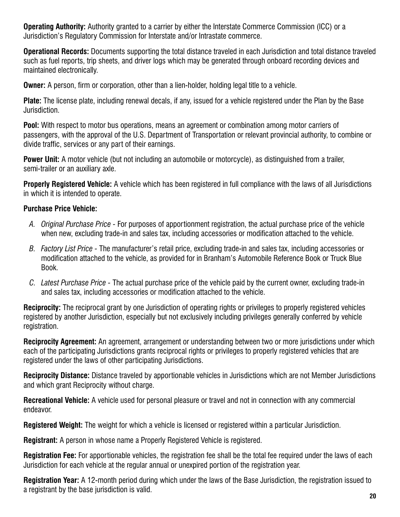**Operating Authority:** Authority granted to a carrier by either the Interstate Commerce Commission (ICC) or a Jurisdiction's Regulatory Commission for Interstate and/or Intrastate commerce.

**Operational Records:** Documents supporting the total distance traveled in each Jurisdiction and total distance traveled such as fuel reports, trip sheets, and driver logs which may be generated through onboard recording devices and maintained electronically.

**Owner:** A person, firm or corporation, other than a lien-holder, holding legal title to a vehicle.

**Plate:** The license plate, including renewal decals, if any, issued for a vehicle registered under the Plan by the Base Jurisdiction.

**Pool:** With respect to motor bus operations, means an agreement or combination among motor carriers of passengers, with the approval of the U.S. Department of Transportation or relevant provincial authority, to combine or divide traffic, services or any part of their earnings.

**Power Unit:** A motor vehicle (but not including an automobile or motorcycle), as distinguished from a trailer, semi-trailer or an auxiliary axle.

**Properly Registered Vehicle:** A vehicle which has been registered in full compliance with the laws of all Jurisdictions in which it is intended to operate.

### **Purchase Price Vehicle:**

- *A. Original Purchase Price -* For purposes of apportionment registration, the actual purchase price of the vehicle when new, excluding trade-in and sales tax, including accessories or modification attached to the vehicle.
- *B. Factory List Price -* The manufacturer's retail price, excluding trade-in and sales tax, including accessories or modification attached to the vehicle, as provided for in Branham's Automobile Reference Book or Truck Blue Book.
- *C. Latest Purchase Price -* The actual purchase price of the vehicle paid by the current owner, excluding trade-in and sales tax, including accessories or modification attached to the vehicle.

**Reciprocity:** The reciprocal grant by one Jurisdiction of operating rights or privileges to properly registered vehicles registered by another Jurisdiction, especially but not exclusively including privileges generally conferred by vehicle registration.

**Reciprocity Agreement:** An agreement, arrangement or understanding between two or more jurisdictions under which each of the participating Jurisdictions grants reciprocal rights or privileges to properly registered vehicles that are registered under the laws of other participating Jurisdictions.

**Reciprocity Distance:** Distance traveled by apportionable vehicles in Jurisdictions which are not Member Jurisdictions and which grant Reciprocity without charge.

**Recreational Vehicle:** A vehicle used for personal pleasure or travel and not in connection with any commercial endeavor.

**Registered Weight:** The weight for which a vehicle is licensed or registered within a particular Jurisdiction.

**Registrant:** A person in whose name a Properly Registered Vehicle is registered.

**Registration Fee:** For apportionable vehicles, the registration fee shall be the total fee required under the laws of each Jurisdiction for each vehicle at the regular annual or unexpired portion of the registration year.

**Registration Year:** A 12-month period during which under the laws of the Base Jurisdiction, the registration issued to a registrant by the base jurisdiction is valid. **20**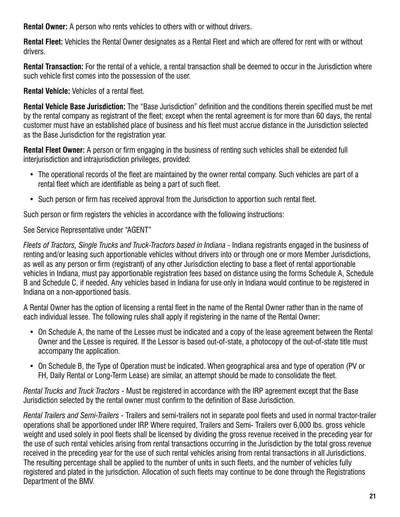**Rental Owner:** A person who rents vehicles to others with or without drivers.

**Rental Fleet:** Vehicles the Rental Owner designates as a Rental Fleet and which are offered for rent with or without drivers.

**Rental Transaction:** For the rental of a vehicle, a rental transaction shall be deemed to occur in the Jurisdiction where such vehicle first comes into the possession of the user.

**Rental Vehicle:** Vehicles of a rental fleet.

**Rental Vehicle Base Jurisdiction:** The "Base Jurisdiction" definition and the conditions therein specified must be met by the rental company as registrant of the fleet; except when the rental agreement is for more than 60 days, the rental customer must have an established place of business and his fleet must accrue distance in the Jurisdiction selected as the Base Jurisdiction for the registration year.

**Rental Fleet Owner:** A person or firm engaging in the business of renting such vehicles shall be extended full interjurisdiction and intrajurisdiction privileges, provided:

- The operational records of the fleet are maintained by the owner rental company. Such vehicles are part of a rental fleet which are identifiable as being a part of such fleet.
- Such person or firm has received approval from the Jurisdiction to apportion such rental fleet.

Such person or firm registers the vehicles in accordance with the following instructions:

See Service Representative under "AGENT"

*Fleets of Tractors, Single Trucks and Truck-Tractors based in Indiana -* Indiana registrants engaged in the business of renting and/or leasing such apportionable vehicles without drivers into or through one or more Member Jurisdictions, as well as any person or firm (registrant) of any other Jurisdiction electing to base a fleet of rental apportionable vehicles in Indiana, must pay apportionable registration fees based on distance using the forms Schedule A, Schedule B and Schedule C, if needed. Any vehicles based in Indiana for use only in Indiana would continue to be registered in Indiana on a non-apportioned basis.

A Rental Owner has the option of licensing a rental fleet in the name of the Rental Owner rather than in the name of each individual lessee. The following rules shall apply if registering in the name of the Rental Owner:

- On Schedule A, the name of the Lessee must be indicated and a copy of the lease agreement between the Rental Owner and the Lessee is required. If the Lessor is based out-of-state, a photocopy of the out-of-state title must accompany the application.
- On Schedule B, the Type of Operation must be indicated. When geographical area and type of operation (PV or FH, Daily Rental or Long-Term Lease) are similar, an attempt should be made to consolidate the fleet.

*Rental Trucks and Truck Tractors -* Must be registered in accordance with the IRP agreement except that the Base Jurisdiction selected by the rental owner must confirm to the definition of Base Jurisdiction.

*Rental Trailers and Semi-Trailers -* Trailers and semi-trailers not in separate pool fleets and used in normal tractor-trailer operations shall be apportioned under IRP. Where required, Trailers and Semi- Trailers over 6,000 lbs. gross vehicle weight and used solely in pool fleets shall be licensed by dividing the gross revenue received in the preceding year for the use of such rental vehicles arising from rental transactions occurring in the Jurisdiction by the total gross revenue received in the preceding year for the use of such rental vehicles arising from rental transactions in all Jurisdictions. The resulting percentage shall be applied to the number of units in such fleets, and the number of vehicles fully registered and plated in the jurisdiction. Allocation of such fleets may continue to be done through the Registrations Department of the BMV.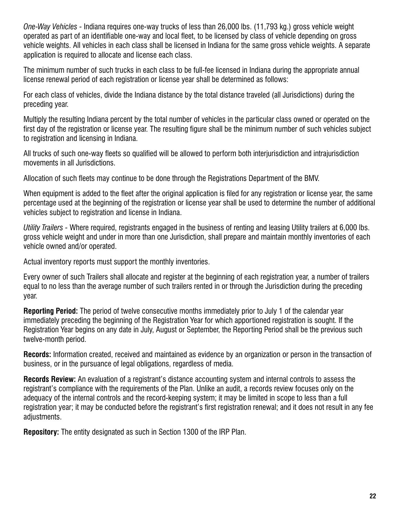*One-Way Vehicles -* Indiana requires one-way trucks of less than 26,000 lbs. (11,793 kg.) gross vehicle weight operated as part of an identifiable one-way and local fleet, to be licensed by class of vehicle depending on gross vehicle weights. All vehicles in each class shall be licensed in Indiana for the same gross vehicle weights. A separate application is required to allocate and license each class.

The minimum number of such trucks in each class to be full-fee licensed in Indiana during the appropriate annual license renewal period of each registration or license year shall be determined as follows:

For each class of vehicles, divide the Indiana distance by the total distance traveled (all Jurisdictions) during the preceding year.

Multiply the resulting Indiana percent by the total number of vehicles in the particular class owned or operated on the first day of the registration or license year. The resulting figure shall be the minimum number of such vehicles subject to registration and licensing in Indiana.

All trucks of such one-way fleets so qualified will be allowed to perform both interjurisdiction and intrajurisdiction movements in all Jurisdictions.

Allocation of such fleets may continue to be done through the Registrations Department of the BMV.

When equipment is added to the fleet after the original application is filed for any registration or license year, the same percentage used at the beginning of the registration or license year shall be used to determine the number of additional vehicles subject to registration and license in Indiana.

*Utility Trailers -* Where required, registrants engaged in the business of renting and leasing Utility trailers at 6,000 lbs. gross vehicle weight and under in more than one Jurisdiction, shall prepare and maintain monthly inventories of each vehicle owned and/or operated.

Actual inventory reports must support the monthly inventories.

Every owner of such Trailers shall allocate and register at the beginning of each registration year, a number of trailers equal to no less than the average number of such trailers rented in or through the Jurisdiction during the preceding year.

**Reporting Period:** The period of twelve consecutive months immediately prior to July 1 of the calendar year immediately preceding the beginning of the Registration Year for which apportioned registration is sought. If the Registration Year begins on any date in July, August or September, the Reporting Period shall be the previous such twelve-month period.

**Records:** Information created, received and maintained as evidence by an organization or person in the transaction of business, or in the pursuance of legal obligations, regardless of media.

**Records Review:** An evaluation of a registrant's distance accounting system and internal controls to assess the registrant's compliance with the requirements of the Plan. Unlike an audit, a records review focuses only on the adequacy of the internal controls and the record-keeping system; it may be limited in scope to less than a full registration year; it may be conducted before the registrant's first registration renewal; and it does not result in any fee adjustments.

**Repository:** The entity designated as such in Section 1300 of the IRP Plan.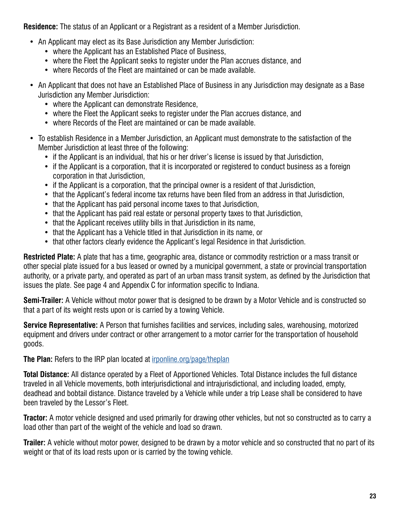**Residence:** The status of an Applicant or a Registrant as a resident of a Member Jurisdiction.

- An Applicant may elect as its Base Jurisdiction any Member Jurisdiction:
	- where the Applicant has an Established Place of Business,
	- where the Fleet the Applicant seeks to register under the Plan accrues distance, and
	- where Records of the Fleet are maintained or can be made available.
- An Applicant that does not have an Established Place of Business in any Jurisdiction may designate as a Base Jurisdiction any Member Jurisdiction:
	- where the Applicant can demonstrate Residence,
	- where the Fleet the Applicant seeks to register under the Plan accrues distance, and
	- where Records of the Fleet are maintained or can be made available.
- To establish Residence in a Member Jurisdiction, an Applicant must demonstrate to the satisfaction of the Member Jurisdiction at least three of the following:
	- if the Applicant is an individual, that his or her driver's license is issued by that Jurisdiction,
	- if the Applicant is a corporation, that it is incorporated or registered to conduct business as a foreign corporation in that Jurisdiction,
	- if the Applicant is a corporation, that the principal owner is a resident of that Jurisdiction,
	- that the Applicant's federal income tax returns have been filed from an address in that Jurisdiction,
	- that the Applicant has paid personal income taxes to that Jurisdiction,
	- that the Applicant has paid real estate or personal property taxes to that Jurisdiction,
	- that the Applicant receives utility bills in that Jurisdiction in its name,
	- that the Applicant has a Vehicle titled in that Jurisdiction in its name, or
	- that other factors clearly evidence the Applicant's legal Residence in that Jurisdiction.

**Restricted Plate:** A plate that has a time, geographic area, distance or commodity restriction or a mass transit or other special plate issued for a bus leased or owned by a municipal government, a state or provincial transportation authority, or a private party, and operated as part of an urban mass transit system, as defined by the Jurisdiction that issues the plate. See page 4 and Appendix C for information specific to Indiana.

**Semi-Trailer:** A Vehicle without motor power that is designed to be drawn by a Motor Vehicle and is constructed so that a part of its weight rests upon or is carried by a towing Vehicle.

**Service Representative:** A Person that furnishes facilities and services, including sales, warehousing, motorized equipment and drivers under contract or other arrangement to a motor carrier for the transportation of household goods.

**The Plan:** Refers to the IRP plan located at [irponline.org/page/theplan](https://www.irponline.org/page/theplan)

**Total Distance:** All distance operated by a Fleet of Apportioned Vehicles. Total Distance includes the full distance traveled in all Vehicle movements, both interjurisdictional and intrajurisdictional, and including loaded, empty, deadhead and bobtail distance. Distance traveled by a Vehicle while under a trip Lease shall be considered to have been traveled by the Lessor's Fleet.

**Tractor:** A motor vehicle designed and used primarily for drawing other vehicles, but not so constructed as to carry a load other than part of the weight of the vehicle and load so drawn.

**Trailer:** A vehicle without motor power, designed to be drawn by a motor vehicle and so constructed that no part of its weight or that of its load rests upon or is carried by the towing vehicle.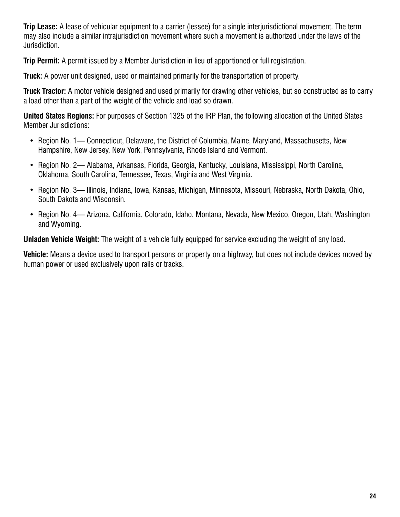**Trip Lease:** A lease of vehicular equipment to a carrier (lessee) for a single interjurisdictional movement. The term may also include a similar intrajurisdiction movement where such a movement is authorized under the laws of the Jurisdiction.

**Trip Permit:** A permit issued by a Member Jurisdiction in lieu of apportioned or full registration.

**Truck:** A power unit designed, used or maintained primarily for the transportation of property.

**Truck Tractor:** A motor vehicle designed and used primarily for drawing other vehicles, but so constructed as to carry a load other than a part of the weight of the vehicle and load so drawn.

**United States Regions:** For purposes of Section 1325 of the IRP Plan, the following allocation of the United States Member Jurisdictions:

- Region No. 1— Connecticut, Delaware, the District of Columbia, Maine, Maryland, Massachusetts, New Hampshire, New Jersey, New York, Pennsylvania, Rhode Island and Vermont.
- Region No. 2— Alabama, Arkansas, Florida, Georgia, Kentucky, Louisiana, Mississippi, North Carolina, Oklahoma, South Carolina, Tennessee, Texas, Virginia and West Virginia.
- Region No. 3— Illinois, Indiana, Iowa, Kansas, Michigan, Minnesota, Missouri, Nebraska, North Dakota, Ohio, South Dakota and Wisconsin.
- Region No. 4— Arizona, California, Colorado, Idaho, Montana, Nevada, New Mexico, Oregon, Utah, Washington and Wyoming.

**Unladen Vehicle Weight:** The weight of a vehicle fully equipped for service excluding the weight of any load.

**Vehicle:** Means a device used to transport persons or property on a highway, but does not include devices moved by human power or used exclusively upon rails or tracks.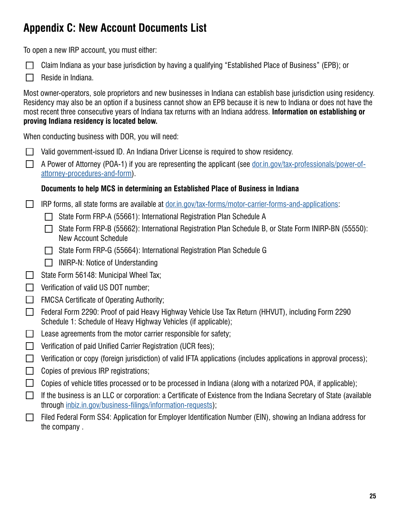## <span id="page-25-0"></span>**Appendix C: New Account Documents List**

To open a new IRP account, you must either:

- Claim Indiana as your base jurisdiction by having a qualifying "Established Place of Business" (EPB); or
- Reside in Indiana.

Most owner-operators, sole proprietors and new businesses in Indiana can establish base jurisdiction using residency. Residency may also be an option if a business cannot show an EPB because it is new to Indiana or does not have the most recent three consecutive years of Indiana tax returns with an Indiana address. **Information on establishing or proving Indiana residency is located below.** 

When conducting business with DOR, you will need:

- Valid government-issued ID. An Indiana Driver License is required to show residency.
- A Power of Attorney (POA-1) if you are representing the applicant (see [dor.in.gov/tax-professionals/power-of](dor.in.gov/tax-professionals/power-of-attorney-procedures-and-form)[attorney-procedures-and-form](dor.in.gov/tax-professionals/power-of-attorney-procedures-and-form)).

### **Documents to help MCS in determining an Established Place of Business in Indiana**

- IRP forms, all state forms are available at [dor.in.gov/tax-forms/motor-carrier-forms-and-applications:](dor.in.gov/tax-forms/motor-carrier-forms-and-applications)  $\Box$ 
	- □ State Form FRP-A (55661): International Registration Plan Schedule A
	- State Form FRP-B (55662): International Registration Plan Schedule B, or State Form INIRP-BN (55550): New Account Schedule
	- $\Box$  State Form FRP-G (55664): International Registration Plan Schedule G
	- $\Box$  INIRP-N: Notice of Understanding
- State Form 56148: Municipal Wheel Tax;  $\Box$
- $\Box$  Verification of valid US DOT number;
- **FMCSA Certificate of Operating Authority;**
- Federal Form 2290: Proof of paid Heavy Highway Vehicle Use Tax Return (HHVUT), including Form 2290 Schedule 1: Schedule of Heavy Highway Vehicles (if applicable);
- $\Box$  Lease agreements from the motor carrier responsible for safety;
- $\Box$  Verification of paid Unified Carrier Registration (UCR fees);
- **T** Verification or copy (foreign jurisdiction) of valid IFTA applications (includes applications in approval process);
- $\Box$  Copies of previous IRP registrations;
- $\Box$  Copies of vehicle titles processed or to be processed in Indiana (along with a notarized POA, if applicable);
- If the business is an LLC or corporation: a Certificate of Existence from the Indiana Secretary of State (available  $\Box$ through <inbiz.in.gov/business-filings/information-requests>);
- Filed Federal Form SS4: Application for Employer Identification Number (EIN), showing an Indiana address for  $\Box$ the company .